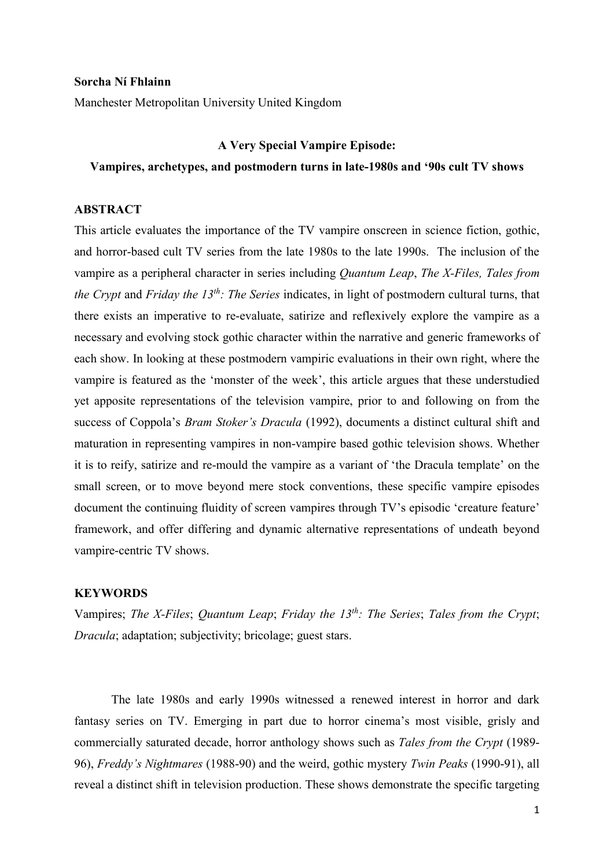#### **Sorcha Ní Fhlainn**

Manchester Metropolitan University United Kingdom

# **A Very Special Vampire Episode:**

# **Vampires, archetypes, and postmodern turns in late-1980s and '90s cult TV shows**

# **ABSTRACT**

This article evaluates the importance of the TV vampire onscreen in science fiction, gothic, and horror-based cult TV series from the late 1980s to the late 1990s. The inclusion of the vampire as a peripheral character in series including *Quantum Leap*, *The X-Files, Tales from the Crypt* and *Friday the 13th: The Series* indicates, in light of postmodern cultural turns, that there exists an imperative to re-evaluate, satirize and reflexively explore the vampire as a necessary and evolving stock gothic character within the narrative and generic frameworks of each show. In looking at these postmodern vampiric evaluations in their own right, where the vampire is featured as the 'monster of the week', this article argues that these understudied yet apposite representations of the television vampire, prior to and following on from the success of Coppola's *Bram Stoker's Dracula* (1992), documents a distinct cultural shift and maturation in representing vampires in non-vampire based gothic television shows. Whether it is to reify, satirize and re-mould the vampire as a variant of 'the Dracula template' on the small screen, or to move beyond mere stock conventions, these specific vampire episodes document the continuing fluidity of screen vampires through TV's episodic 'creature feature' framework, and offer differing and dynamic alternative representations of undeath beyond vampire-centric TV shows.

## **KEYWORDS**

Vampires; *The X-Files*; *Quantum Leap*; *Friday the 13th: The Series*; *Tales from the Crypt*; *Dracula*; adaptation; subjectivity; bricolage; guest stars.

The late 1980s and early 1990s witnessed a renewed interest in horror and dark fantasy series on TV. Emerging in part due to horror cinema's most visible, grisly and commercially saturated decade, horror anthology shows such as *Tales from the Crypt* (1989- 96), *Freddy's Nightmares* (1988-90) and the weird, gothic mystery *Twin Peaks* (1990-91), all reveal a distinct shift in television production. These shows demonstrate the specific targeting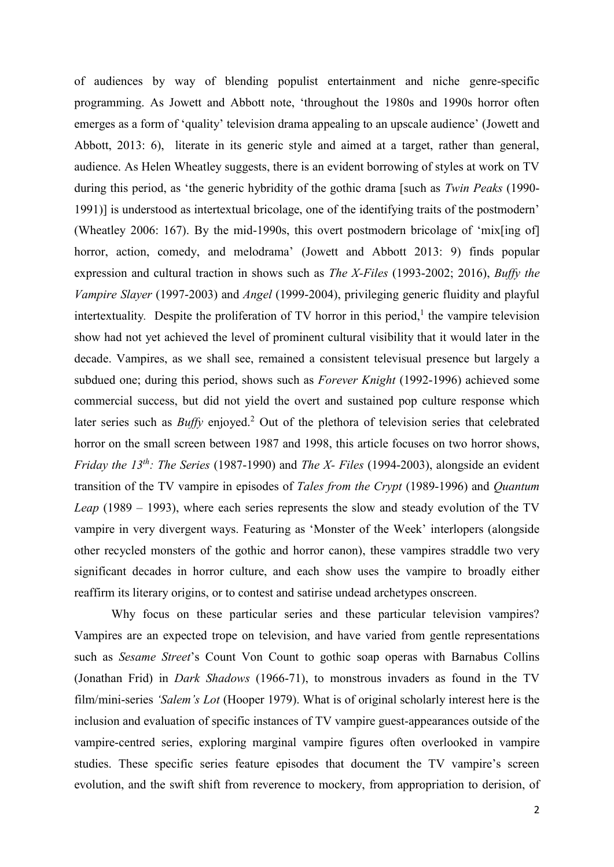of audiences by way of blending populist entertainment and niche genre-specific programming. As Jowett and Abbott note, 'throughout the 1980s and 1990s horror often emerges as a form of 'quality' television drama appealing to an upscale audience' (Jowett and Abbott, 2013: 6), literate in its generic style and aimed at a target, rather than general, audience. As Helen Wheatley suggests, there is an evident borrowing of styles at work on TV during this period, as 'the generic hybridity of the gothic drama [such as *Twin Peaks* (1990- 1991)] is understood as intertextual bricolage, one of the identifying traits of the postmodern' (Wheatley 2006: 167). By the mid-1990s, this overt postmodern bricolage of 'mix[ing of] horror, action, comedy, and melodrama' (Jowett and Abbott 2013: 9) finds popular expression and cultural traction in shows such as *The X-Files* (1993-2002; 2016), *Buffy the Vampire Slayer* (1997-2003) and *Angel* (1999-2004), privileging generic fluidity and playful intertextuality. Despite the proliferation of  $TV$  horror in this period,<sup>1</sup> the vampire television show had not yet achieved the level of prominent cultural visibility that it would later in the decade. Vampires, as we shall see, remained a consistent televisual presence but largely a subdued one; during this period, shows such as *Forever Knight* (1992-1996) achieved some commercial success, but did not yield the overt and sustained pop culture response which later series such as *Buffy* enjoyed. <sup>2</sup> Out of the plethora of television series that celebrated horror on the small screen between 1987 and 1998, this article focuses on two horror shows, *Friday the 13th: The Series* (1987-1990) and *The X- Files* (1994-2003), alongside an evident transition of the TV vampire in episodes of *Tales from the Crypt* (1989-1996) and *Quantum Leap* (1989 – 1993), where each series represents the slow and steady evolution of the TV vampire in very divergent ways. Featuring as 'Monster of the Week' interlopers (alongside other recycled monsters of the gothic and horror canon), these vampires straddle two very significant decades in horror culture, and each show uses the vampire to broadly either reaffirm its literary origins, or to contest and satirise undead archetypes onscreen.

Why focus on these particular series and these particular television vampires? Vampires are an expected trope on television, and have varied from gentle representations such as *Sesame Street*'s Count Von Count to gothic soap operas with Barnabus Collins (Jonathan Frid) in *Dark Shadows* (1966-71), to monstrous invaders as found in the TV film/mini-series *'Salem's Lot* (Hooper 1979). What is of original scholarly interest here is the inclusion and evaluation of specific instances of TV vampire guest-appearances outside of the vampire-centred series, exploring marginal vampire figures often overlooked in vampire studies. These specific series feature episodes that document the TV vampire's screen evolution, and the swift shift from reverence to mockery, from appropriation to derision, of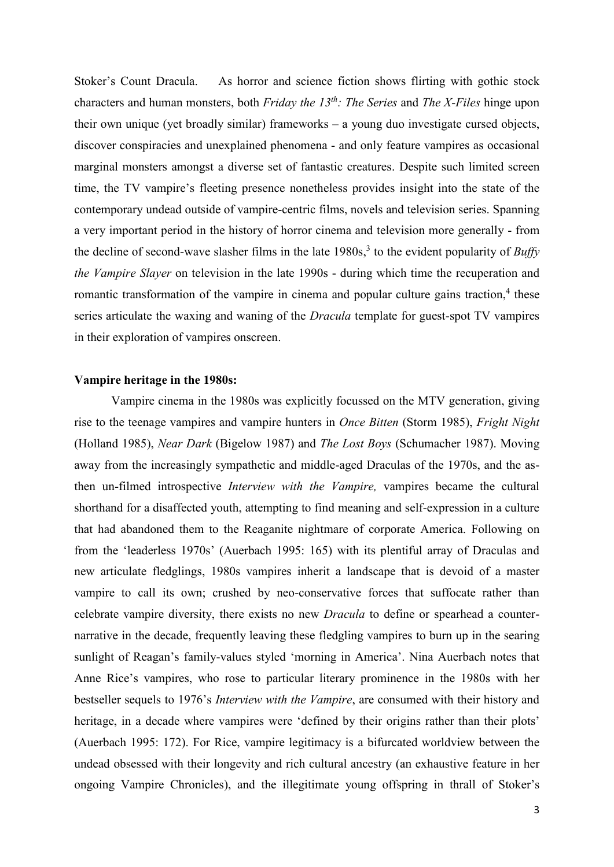Stoker's Count Dracula. As horror and science fiction shows flirting with gothic stock characters and human monsters, both *Friday the 13th: The Series* and *The X-Files* hinge upon their own unique (yet broadly similar) frameworks – a young duo investigate cursed objects, discover conspiracies and unexplained phenomena - and only feature vampires as occasional marginal monsters amongst a diverse set of fantastic creatures. Despite such limited screen time, the TV vampire's fleeting presence nonetheless provides insight into the state of the contemporary undead outside of vampire-centric films, novels and television series. Spanning a very important period in the history of horror cinema and television more generally - from the decline of second-wave slasher films in the late 1980s, 3 to the evident popularity of *Buffy the Vampire Slayer* on television in the late 1990s - during which time the recuperation and romantic transformation of the vampire in cinema and popular culture gains traction,<sup>4</sup> these series articulate the waxing and waning of the *Dracula* template for guest-spot TV vampires in their exploration of vampires onscreen.

## **Vampire heritage in the 1980s:**

Vampire cinema in the 1980s was explicitly focussed on the MTV generation, giving rise to the teenage vampires and vampire hunters in *Once Bitten* (Storm 1985), *Fright Night* (Holland 1985), *Near Dark* (Bigelow 1987) and *The Lost Boys* (Schumacher 1987). Moving away from the increasingly sympathetic and middle-aged Draculas of the 1970s, and the asthen un-filmed introspective *Interview with the Vampire,* vampires became the cultural shorthand for a disaffected youth, attempting to find meaning and self-expression in a culture that had abandoned them to the Reaganite nightmare of corporate America. Following on from the 'leaderless 1970s' (Auerbach 1995: 165) with its plentiful array of Draculas and new articulate fledglings, 1980s vampires inherit a landscape that is devoid of a master vampire to call its own; crushed by neo-conservative forces that suffocate rather than celebrate vampire diversity, there exists no new *Dracula* to define or spearhead a counternarrative in the decade, frequently leaving these fledgling vampires to burn up in the searing sunlight of Reagan's family-values styled 'morning in America'. Nina Auerbach notes that Anne Rice's vampires, who rose to particular literary prominence in the 1980s with her bestseller sequels to 1976's *Interview with the Vampire*, are consumed with their history and heritage, in a decade where vampires were 'defined by their origins rather than their plots' (Auerbach 1995: 172). For Rice, vampire legitimacy is a bifurcated worldview between the undead obsessed with their longevity and rich cultural ancestry (an exhaustive feature in her ongoing Vampire Chronicles), and the illegitimate young offspring in thrall of Stoker's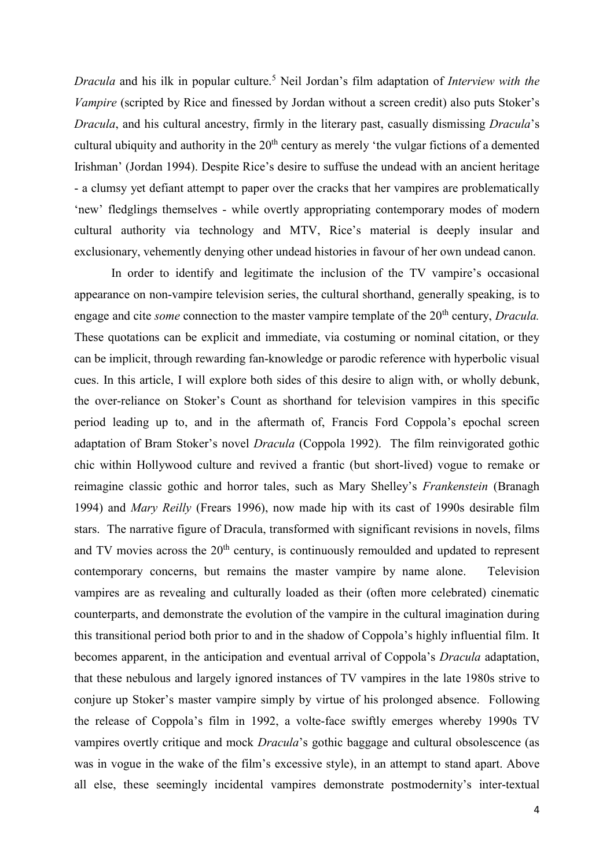*Dracula* and his ilk in popular culture.<sup>5</sup> Neil Jordan's film adaptation of *Interview with the Vampire* (scripted by Rice and finessed by Jordan without a screen credit) also puts Stoker's *Dracula*, and his cultural ancestry, firmly in the literary past, casually dismissing *Dracula*'s cultural ubiquity and authority in the 20<sup>th</sup> century as merely 'the vulgar fictions of a demented Irishman' (Jordan 1994). Despite Rice's desire to suffuse the undead with an ancient heritage - a clumsy yet defiant attempt to paper over the cracks that her vampires are problematically 'new' fledglings themselves - while overtly appropriating contemporary modes of modern cultural authority via technology and MTV, Rice's material is deeply insular and exclusionary, vehemently denying other undead histories in favour of her own undead canon.

In order to identify and legitimate the inclusion of the TV vampire's occasional appearance on non-vampire television series, the cultural shorthand, generally speaking, is to engage and cite *some* connection to the master vampire template of the 20<sup>th</sup> century, *Dracula*. These quotations can be explicit and immediate, via costuming or nominal citation, or they can be implicit, through rewarding fan-knowledge or parodic reference with hyperbolic visual cues. In this article, I will explore both sides of this desire to align with, or wholly debunk, the over-reliance on Stoker's Count as shorthand for television vampires in this specific period leading up to, and in the aftermath of, Francis Ford Coppola's epochal screen adaptation of Bram Stoker's novel *Dracula* (Coppola 1992). The film reinvigorated gothic chic within Hollywood culture and revived a frantic (but short-lived) vogue to remake or reimagine classic gothic and horror tales, such as Mary Shelley's *Frankenstein* (Branagh 1994) and *Mary Reilly* (Frears 1996), now made hip with its cast of 1990s desirable film stars. The narrative figure of Dracula, transformed with significant revisions in novels, films and TV movies across the  $20<sup>th</sup>$  century, is continuously remoulded and updated to represent contemporary concerns, but remains the master vampire by name alone. Television vampires are as revealing and culturally loaded as their (often more celebrated) cinematic counterparts, and demonstrate the evolution of the vampire in the cultural imagination during this transitional period both prior to and in the shadow of Coppola's highly influential film. It becomes apparent, in the anticipation and eventual arrival of Coppola's *Dracula* adaptation, that these nebulous and largely ignored instances of TV vampires in the late 1980s strive to conjure up Stoker's master vampire simply by virtue of his prolonged absence. Following the release of Coppola's film in 1992, a volte-face swiftly emerges whereby 1990s TV vampires overtly critique and mock *Dracula*'s gothic baggage and cultural obsolescence (as was in vogue in the wake of the film's excessive style), in an attempt to stand apart. Above all else, these seemingly incidental vampires demonstrate postmodernity's inter-textual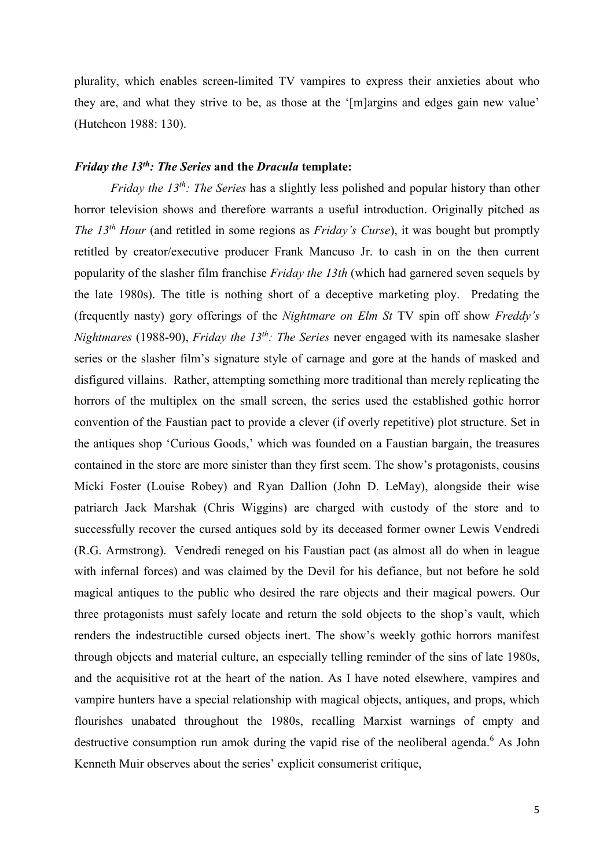plurality, which enables screen-limited TV vampires to express their anxieties about who they are, and what they strive to be, as those at the '[m]argins and edges gain new value' (Hutcheon 1988: 130).

## *Friday the 13th: The Series* **and the** *Dracula* **template:**

*Friday the 13th: The Series* has a slightly less polished and popular history than other horror television shows and therefore warrants a useful introduction. Originally pitched as *The 13th Hour* (and retitled in some regions as *Friday's Curse*), it was bought but promptly retitled by creator/executive producer Frank Mancuso Jr. to cash in on the then current popularity of the slasher film franchise *Friday the 13th* (which had garnered seven sequels by the late 1980s). The title is nothing short of a deceptive marketing ploy. Predating the (frequently nasty) gory offerings of the *Nightmare on Elm St* TV spin off show *Freddy's Nightmares* (1988-90), *Friday the 13th: The Series* never engaged with its namesake slasher series or the slasher film's signature style of carnage and gore at the hands of masked and disfigured villains. Rather, attempting something more traditional than merely replicating the horrors of the multiplex on the small screen, the series used the established gothic horror convention of the Faustian pact to provide a clever (if overly repetitive) plot structure. Set in the antiques shop 'Curious Goods,' which was founded on a Faustian bargain, the treasures contained in the store are more sinister than they first seem. The show's protagonists, cousins Micki Foster (Louise Robey) and Ryan Dallion (John D. LeMay), alongside their wise patriarch Jack Marshak (Chris Wiggins) are charged with custody of the store and to successfully recover the cursed antiques sold by its deceased former owner Lewis Vendredi (R.G. Armstrong). Vendredi reneged on his Faustian pact (as almost all do when in league with infernal forces) and was claimed by the Devil for his defiance, but not before he sold magical antiques to the public who desired the rare objects and their magical powers. Our three protagonists must safely locate and return the sold objects to the shop's vault, which renders the indestructible cursed objects inert. The show's weekly gothic horrors manifest through objects and material culture, an especially telling reminder of the sins of late 1980s, and the acquisitive rot at the heart of the nation. As I have noted elsewhere, vampires and vampire hunters have a special relationship with magical objects, antiques, and props, which flourishes unabated throughout the 1980s, recalling Marxist warnings of empty and destructive consumption run amok during the vapid rise of the neoliberal agenda.<sup>6</sup> As John Kenneth Muir observes about the series' explicit consumerist critique,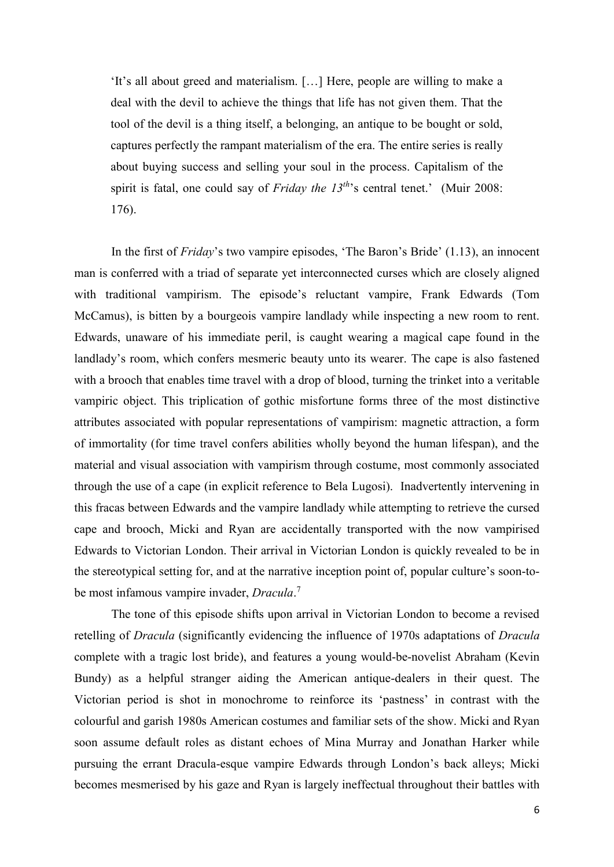'It's all about greed and materialism. […] Here, people are willing to make a deal with the devil to achieve the things that life has not given them. That the tool of the devil is a thing itself, a belonging, an antique to be bought or sold, captures perfectly the rampant materialism of the era. The entire series is really about buying success and selling your soul in the process. Capitalism of the spirit is fatal, one could say of *Friday the 13<sup>th*</sup>'s central tenet.' (Muir 2008: 176).

In the first of *Friday*'s two vampire episodes, 'The Baron's Bride' (1.13), an innocent man is conferred with a triad of separate yet interconnected curses which are closely aligned with traditional vampirism. The episode's reluctant vampire, Frank Edwards (Tom McCamus), is bitten by a bourgeois vampire landlady while inspecting a new room to rent. Edwards, unaware of his immediate peril, is caught wearing a magical cape found in the landlady's room, which confers mesmeric beauty unto its wearer. The cape is also fastened with a brooch that enables time travel with a drop of blood, turning the trinket into a veritable vampiric object. This triplication of gothic misfortune forms three of the most distinctive attributes associated with popular representations of vampirism: magnetic attraction, a form of immortality (for time travel confers abilities wholly beyond the human lifespan), and the material and visual association with vampirism through costume, most commonly associated through the use of a cape (in explicit reference to Bela Lugosi). Inadvertently intervening in this fracas between Edwards and the vampire landlady while attempting to retrieve the cursed cape and brooch, Micki and Ryan are accidentally transported with the now vampirised Edwards to Victorian London. Their arrival in Victorian London is quickly revealed to be in the stereotypical setting for, and at the narrative inception point of, popular culture's soon-tobe most infamous vampire invader, *Dracula*. 7

The tone of this episode shifts upon arrival in Victorian London to become a revised retelling of *Dracula* (significantly evidencing the influence of 1970s adaptations of *Dracula* complete with a tragic lost bride), and features a young would-be-novelist Abraham (Kevin Bundy) as a helpful stranger aiding the American antique-dealers in their quest. The Victorian period is shot in monochrome to reinforce its 'pastness' in contrast with the colourful and garish 1980s American costumes and familiar sets of the show. Micki and Ryan soon assume default roles as distant echoes of Mina Murray and Jonathan Harker while pursuing the errant Dracula-esque vampire Edwards through London's back alleys; Micki becomes mesmerised by his gaze and Ryan is largely ineffectual throughout their battles with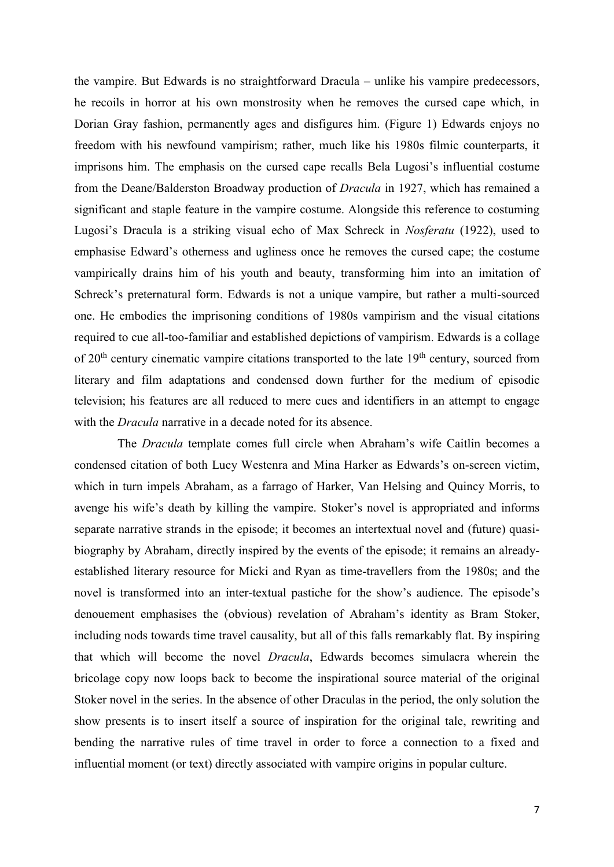the vampire. But Edwards is no straightforward Dracula – unlike his vampire predecessors, he recoils in horror at his own monstrosity when he removes the cursed cape which, in Dorian Gray fashion, permanently ages and disfigures him. (Figure 1) Edwards enjoys no freedom with his newfound vampirism; rather, much like his 1980s filmic counterparts, it imprisons him. The emphasis on the cursed cape recalls Bela Lugosi's influential costume from the Deane/Balderston Broadway production of *Dracula* in 1927, which has remained a significant and staple feature in the vampire costume. Alongside this reference to costuming Lugosi's Dracula is a striking visual echo of Max Schreck in *Nosferatu* (1922), used to emphasise Edward's otherness and ugliness once he removes the cursed cape; the costume vampirically drains him of his youth and beauty, transforming him into an imitation of Schreck's preternatural form. Edwards is not a unique vampire, but rather a multi-sourced one. He embodies the imprisoning conditions of 1980s vampirism and the visual citations required to cue all-too-familiar and established depictions of vampirism. Edwards is a collage of  $20<sup>th</sup>$  century cinematic vampire citations transported to the late  $19<sup>th</sup>$  century, sourced from literary and film adaptations and condensed down further for the medium of episodic television; his features are all reduced to mere cues and identifiers in an attempt to engage with the *Dracula* narrative in a decade noted for its absence.

The *Dracula* template comes full circle when Abraham's wife Caitlin becomes a condensed citation of both Lucy Westenra and Mina Harker as Edwards's on-screen victim, which in turn impels Abraham, as a farrago of Harker, Van Helsing and Quincy Morris, to avenge his wife's death by killing the vampire. Stoker's novel is appropriated and informs separate narrative strands in the episode; it becomes an intertextual novel and (future) quasibiography by Abraham, directly inspired by the events of the episode; it remains an alreadyestablished literary resource for Micki and Ryan as time-travellers from the 1980s; and the novel is transformed into an inter-textual pastiche for the show's audience. The episode's denouement emphasises the (obvious) revelation of Abraham's identity as Bram Stoker, including nods towards time travel causality, but all of this falls remarkably flat. By inspiring that which will become the novel *Dracula*, Edwards becomes simulacra wherein the bricolage copy now loops back to become the inspirational source material of the original Stoker novel in the series. In the absence of other Draculas in the period, the only solution the show presents is to insert itself a source of inspiration for the original tale, rewriting and bending the narrative rules of time travel in order to force a connection to a fixed and influential moment (or text) directly associated with vampire origins in popular culture.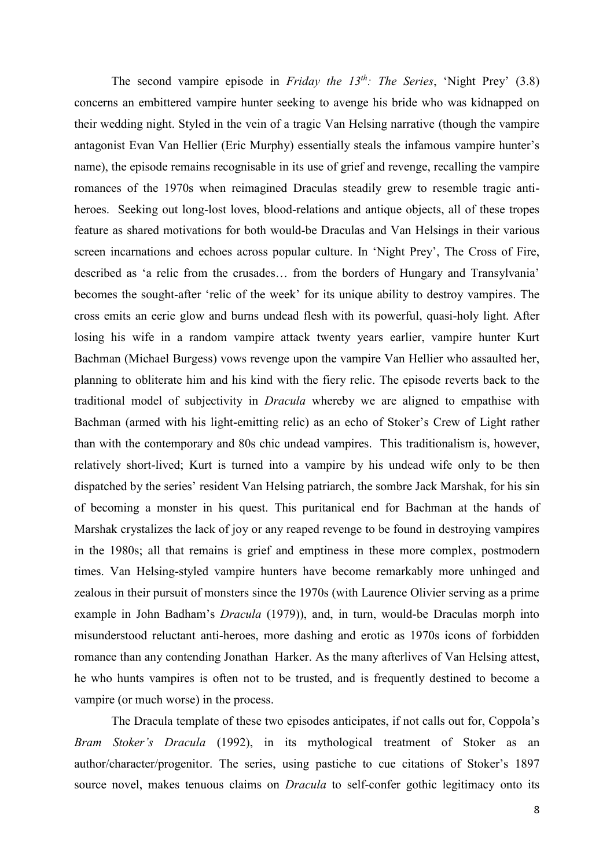The second vampire episode in *Friday the 13th: The Series*, 'Night Prey' (3.8) concerns an embittered vampire hunter seeking to avenge his bride who was kidnapped on their wedding night. Styled in the vein of a tragic Van Helsing narrative (though the vampire antagonist Evan Van Hellier (Eric Murphy) essentially steals the infamous vampire hunter's name), the episode remains recognisable in its use of grief and revenge, recalling the vampire romances of the 1970s when reimagined Draculas steadily grew to resemble tragic antiheroes. Seeking out long-lost loves, blood-relations and antique objects, all of these tropes feature as shared motivations for both would-be Draculas and Van Helsings in their various screen incarnations and echoes across popular culture. In 'Night Prey', The Cross of Fire, described as 'a relic from the crusades… from the borders of Hungary and Transylvania' becomes the sought-after 'relic of the week' for its unique ability to destroy vampires. The cross emits an eerie glow and burns undead flesh with its powerful, quasi-holy light. After losing his wife in a random vampire attack twenty years earlier, vampire hunter Kurt Bachman (Michael Burgess) vows revenge upon the vampire Van Hellier who assaulted her, planning to obliterate him and his kind with the fiery relic. The episode reverts back to the traditional model of subjectivity in *Dracula* whereby we are aligned to empathise with Bachman (armed with his light-emitting relic) as an echo of Stoker's Crew of Light rather than with the contemporary and 80s chic undead vampires. This traditionalism is, however, relatively short-lived; Kurt is turned into a vampire by his undead wife only to be then dispatched by the series' resident Van Helsing patriarch, the sombre Jack Marshak, for his sin of becoming a monster in his quest. This puritanical end for Bachman at the hands of Marshak crystalizes the lack of joy or any reaped revenge to be found in destroying vampires in the 1980s; all that remains is grief and emptiness in these more complex, postmodern times. Van Helsing-styled vampire hunters have become remarkably more unhinged and zealous in their pursuit of monsters since the 1970s (with Laurence Olivier serving as a prime example in John Badham's *Dracula* (1979)), and, in turn, would-be Draculas morph into misunderstood reluctant anti-heroes, more dashing and erotic as 1970s icons of forbidden romance than any contending Jonathan Harker. As the many afterlives of Van Helsing attest, he who hunts vampires is often not to be trusted, and is frequently destined to become a vampire (or much worse) in the process.

The Dracula template of these two episodes anticipates, if not calls out for, Coppola's *Bram Stoker's Dracula* (1992), in its mythological treatment of Stoker as an author/character/progenitor. The series, using pastiche to cue citations of Stoker's 1897 source novel, makes tenuous claims on *Dracula* to self-confer gothic legitimacy onto its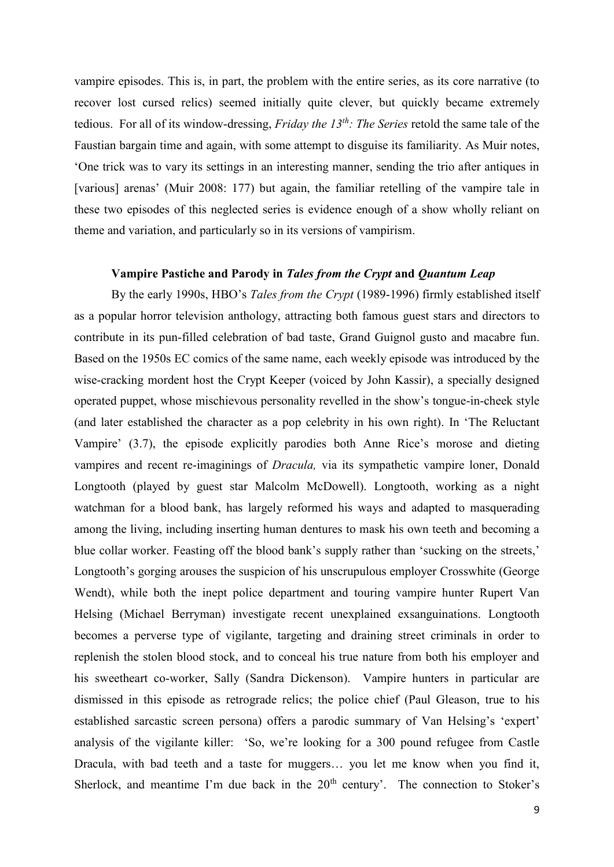vampire episodes. This is, in part, the problem with the entire series, as its core narrative (to recover lost cursed relics) seemed initially quite clever, but quickly became extremely tedious. For all of its window-dressing, *Friday the 13th: The Series* retold the same tale of the Faustian bargain time and again, with some attempt to disguise its familiarity. As Muir notes, 'One trick was to vary its settings in an interesting manner, sending the trio after antiques in [various] arenas' (Muir 2008: 177) but again, the familiar retelling of the vampire tale in these two episodes of this neglected series is evidence enough of a show wholly reliant on theme and variation, and particularly so in its versions of vampirism.

#### **Vampire Pastiche and Parody in** *Tales from the Crypt* **and** *Quantum Leap*

By the early 1990s, HBO's *Tales from the Crypt* (1989-1996) firmly established itself as a popular horror television anthology, attracting both famous guest stars and directors to contribute in its pun-filled celebration of bad taste, Grand Guignol gusto and macabre fun. Based on the 1950s EC comics of the same name, each weekly episode was introduced by the wise-cracking mordent host the Crypt Keeper (voiced by John Kassir), a specially designed operated puppet, whose mischievous personality revelled in the show's tongue-in-cheek style (and later established the character as a pop celebrity in his own right). In 'The Reluctant Vampire' (3.7), the episode explicitly parodies both Anne Rice's morose and dieting vampires and recent re-imaginings of *Dracula,* via its sympathetic vampire loner, Donald Longtooth (played by guest star Malcolm McDowell). Longtooth, working as a night watchman for a blood bank, has largely reformed his ways and adapted to masquerading among the living, including inserting human dentures to mask his own teeth and becoming a blue collar worker. Feasting off the blood bank's supply rather than 'sucking on the streets,' Longtooth's gorging arouses the suspicion of his unscrupulous employer Crosswhite (George Wendt), while both the inept police department and touring vampire hunter Rupert Van Helsing (Michael Berryman) investigate recent unexplained exsanguinations. Longtooth becomes a perverse type of vigilante, targeting and draining street criminals in order to replenish the stolen blood stock, and to conceal his true nature from both his employer and his sweetheart co-worker, Sally (Sandra Dickenson). Vampire hunters in particular are dismissed in this episode as retrograde relics; the police chief (Paul Gleason, true to his established sarcastic screen persona) offers a parodic summary of Van Helsing's 'expert' analysis of the vigilante killer: 'So, we're looking for a 300 pound refugee from Castle Dracula, with bad teeth and a taste for muggers… you let me know when you find it, Sherlock, and meantime I'm due back in the  $20<sup>th</sup>$  century'. The connection to Stoker's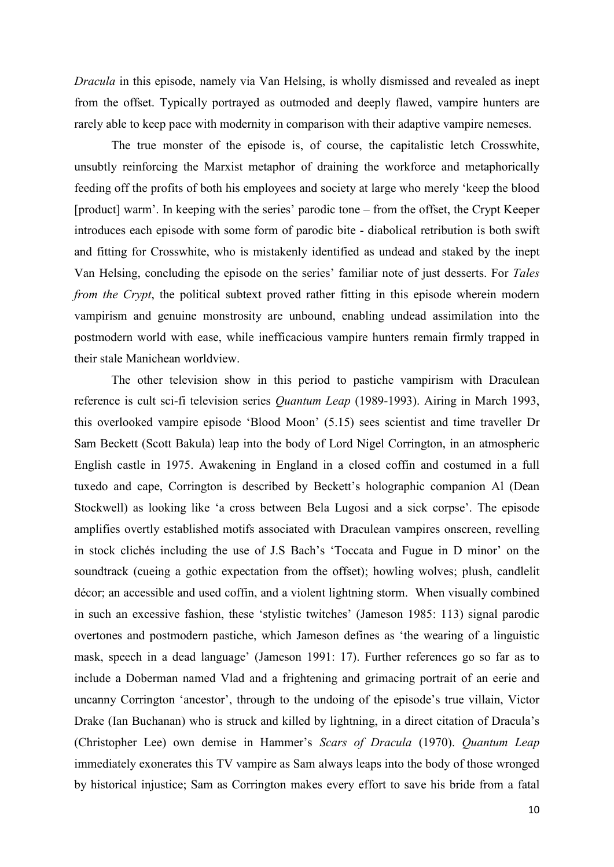*Dracula* in this episode, namely via Van Helsing, is wholly dismissed and revealed as inept from the offset. Typically portrayed as outmoded and deeply flawed, vampire hunters are rarely able to keep pace with modernity in comparison with their adaptive vampire nemeses.

The true monster of the episode is, of course, the capitalistic letch Crosswhite, unsubtly reinforcing the Marxist metaphor of draining the workforce and metaphorically feeding off the profits of both his employees and society at large who merely 'keep the blood [product] warm'. In keeping with the series' parodic tone – from the offset, the Crypt Keeper introduces each episode with some form of parodic bite - diabolical retribution is both swift and fitting for Crosswhite, who is mistakenly identified as undead and staked by the inept Van Helsing, concluding the episode on the series' familiar note of just desserts. For *Tales from the Crypt*, the political subtext proved rather fitting in this episode wherein modern vampirism and genuine monstrosity are unbound, enabling undead assimilation into the postmodern world with ease, while inefficacious vampire hunters remain firmly trapped in their stale Manichean worldview.

The other television show in this period to pastiche vampirism with Draculean reference is cult sci-fi television series *Quantum Leap* (1989-1993). Airing in March 1993, this overlooked vampire episode 'Blood Moon' (5.15) sees scientist and time traveller Dr Sam Beckett (Scott Bakula) leap into the body of Lord Nigel Corrington, in an atmospheric English castle in 1975. Awakening in England in a closed coffin and costumed in a full tuxedo and cape, Corrington is described by Beckett's holographic companion Al (Dean Stockwell) as looking like 'a cross between Bela Lugosi and a sick corpse'. The episode amplifies overtly established motifs associated with Draculean vampires onscreen, revelling in stock clichés including the use of J.S Bach's 'Toccata and Fugue in D minor' on the soundtrack (cueing a gothic expectation from the offset); howling wolves; plush, candlelit décor; an accessible and used coffin, and a violent lightning storm. When visually combined in such an excessive fashion, these 'stylistic twitches' (Jameson 1985: 113) signal parodic overtones and postmodern pastiche, which Jameson defines as 'the wearing of a linguistic mask, speech in a dead language' (Jameson 1991: 17). Further references go so far as to include a Doberman named Vlad and a frightening and grimacing portrait of an eerie and uncanny Corrington 'ancestor', through to the undoing of the episode's true villain, Victor Drake (Ian Buchanan) who is struck and killed by lightning, in a direct citation of Dracula's (Christopher Lee) own demise in Hammer's *Scars of Dracula* (1970). *Quantum Leap* immediately exonerates this TV vampire as Sam always leaps into the body of those wronged by historical injustice; Sam as Corrington makes every effort to save his bride from a fatal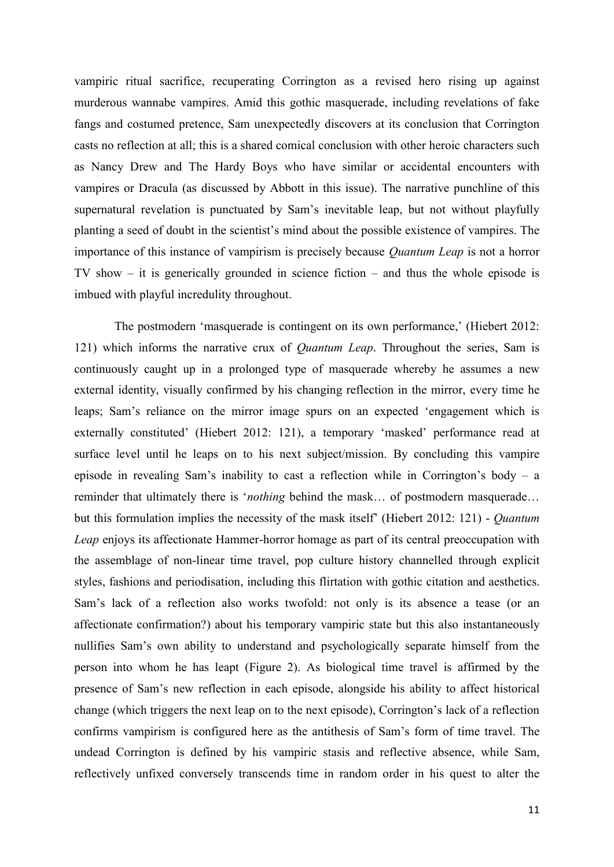vampiric ritual sacrifice, recuperating Corrington as a revised hero rising up against murderous wannabe vampires. Amid this gothic masquerade, including revelations of fake fangs and costumed pretence, Sam unexpectedly discovers at its conclusion that Corrington casts no reflection at all; this is a shared comical conclusion with other heroic characters such as Nancy Drew and The Hardy Boys who have similar or accidental encounters with vampires or Dracula (as discussed by Abbott in this issue). The narrative punchline of this supernatural revelation is punctuated by Sam's inevitable leap, but not without playfully planting a seed of doubt in the scientist's mind about the possible existence of vampires. The importance of this instance of vampirism is precisely because *Quantum Leap* is not a horror TV show – it is generically grounded in science fiction – and thus the whole episode is imbued with playful incredulity throughout.

The postmodern 'masquerade is contingent on its own performance,' (Hiebert 2012: 121) which informs the narrative crux of *Quantum Leap*. Throughout the series, Sam is continuously caught up in a prolonged type of masquerade whereby he assumes a new external identity, visually confirmed by his changing reflection in the mirror, every time he leaps; Sam's reliance on the mirror image spurs on an expected 'engagement which is externally constituted' (Hiebert 2012: 121), a temporary 'masked' performance read at surface level until he leaps on to his next subject/mission. By concluding this vampire episode in revealing Sam's inability to cast a reflection while in Corrington's body – a reminder that ultimately there is '*nothing* behind the mask… of postmodern masquerade… but this formulation implies the necessity of the mask itself' (Hiebert 2012: 121) - *Quantum Leap* enjoys its affectionate Hammer-horror homage as part of its central preoccupation with the assemblage of non-linear time travel, pop culture history channelled through explicit styles, fashions and periodisation, including this flirtation with gothic citation and aesthetics. Sam's lack of a reflection also works twofold: not only is its absence a tease (or an affectionate confirmation?) about his temporary vampiric state but this also instantaneously nullifies Sam's own ability to understand and psychologically separate himself from the person into whom he has leapt (Figure 2). As biological time travel is affirmed by the presence of Sam's new reflection in each episode, alongside his ability to affect historical change (which triggers the next leap on to the next episode), Corrington's lack of a reflection confirms vampirism is configured here as the antithesis of Sam's form of time travel. The undead Corrington is defined by his vampiric stasis and reflective absence, while Sam, reflectively unfixed conversely transcends time in random order in his quest to alter the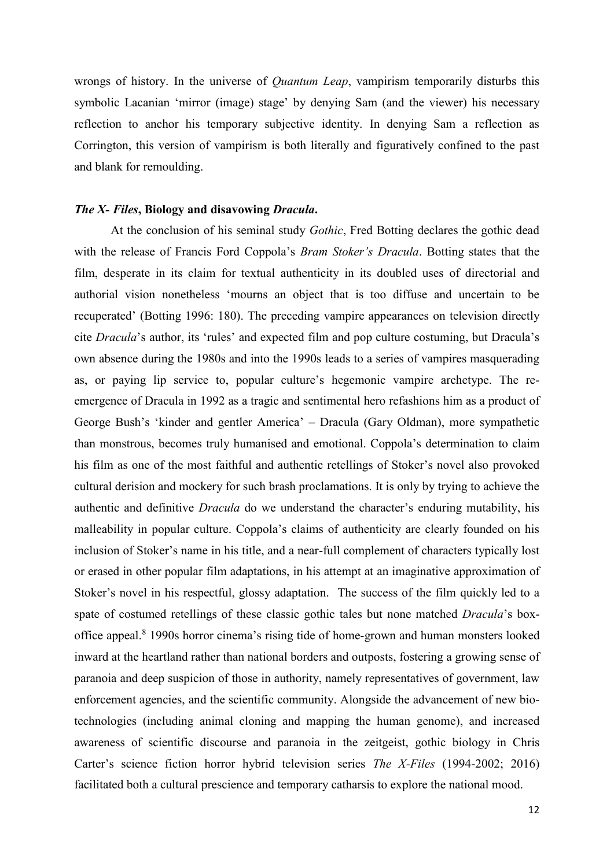wrongs of history. In the universe of *Quantum Leap*, vampirism temporarily disturbs this symbolic Lacanian 'mirror (image) stage' by denying Sam (and the viewer) his necessary reflection to anchor his temporary subjective identity. In denying Sam a reflection as Corrington, this version of vampirism is both literally and figuratively confined to the past and blank for remoulding.

# *The X- Files***, Biology and disavowing** *Dracula***.**

At the conclusion of his seminal study *Gothic*, Fred Botting declares the gothic dead with the release of Francis Ford Coppola's *Bram Stoker's Dracula*. Botting states that the film, desperate in its claim for textual authenticity in its doubled uses of directorial and authorial vision nonetheless 'mourns an object that is too diffuse and uncertain to be recuperated' (Botting 1996: 180). The preceding vampire appearances on television directly cite *Dracula*'s author, its 'rules' and expected film and pop culture costuming, but Dracula's own absence during the 1980s and into the 1990s leads to a series of vampires masquerading as, or paying lip service to, popular culture's hegemonic vampire archetype. The reemergence of Dracula in 1992 as a tragic and sentimental hero refashions him as a product of George Bush's 'kinder and gentler America' – Dracula (Gary Oldman), more sympathetic than monstrous, becomes truly humanised and emotional. Coppola's determination to claim his film as one of the most faithful and authentic retellings of Stoker's novel also provoked cultural derision and mockery for such brash proclamations. It is only by trying to achieve the authentic and definitive *Dracula* do we understand the character's enduring mutability, his malleability in popular culture. Coppola's claims of authenticity are clearly founded on his inclusion of Stoker's name in his title, and a near-full complement of characters typically lost or erased in other popular film adaptations, in his attempt at an imaginative approximation of Stoker's novel in his respectful, glossy adaptation. The success of the film quickly led to a spate of costumed retellings of these classic gothic tales but none matched *Dracula*'s boxoffice appeal. 8 1990s horror cinema's rising tide of home-grown and human monsters looked inward at the heartland rather than national borders and outposts, fostering a growing sense of paranoia and deep suspicion of those in authority, namely representatives of government, law enforcement agencies, and the scientific community. Alongside the advancement of new biotechnologies (including animal cloning and mapping the human genome), and increased awareness of scientific discourse and paranoia in the zeitgeist, gothic biology in Chris Carter's science fiction horror hybrid television series *The X-Files* (1994-2002; 2016) facilitated both a cultural prescience and temporary catharsis to explore the national mood.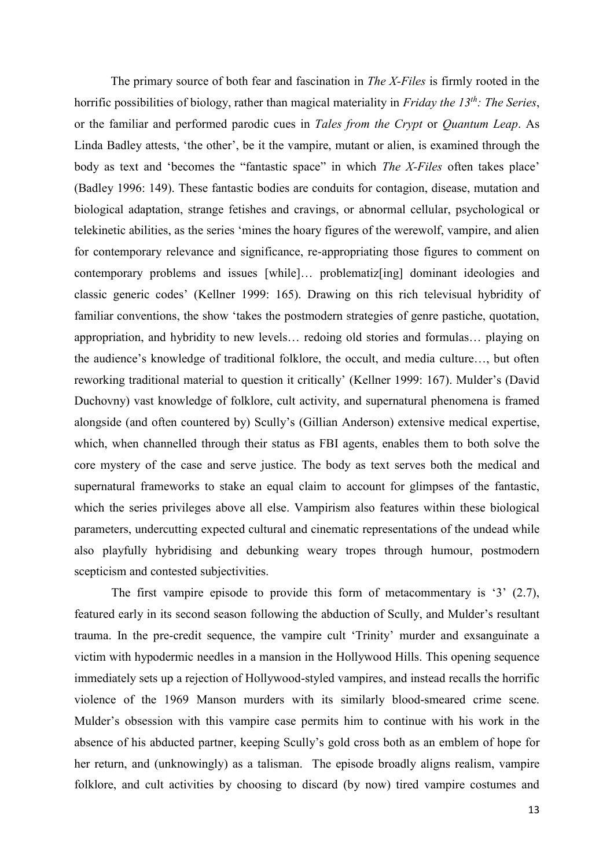The primary source of both fear and fascination in *The X-Files* is firmly rooted in the horrific possibilities of biology, rather than magical materiality in *Friday the 13th: The Series*, or the familiar and performed parodic cues in *Tales from the Crypt* or *Quantum Leap*. As Linda Badley attests, 'the other', be it the vampire, mutant or alien, is examined through the body as text and 'becomes the "fantastic space" in which *The X-Files* often takes place' (Badley 1996: 149). These fantastic bodies are conduits for contagion, disease, mutation and biological adaptation, strange fetishes and cravings, or abnormal cellular, psychological or telekinetic abilities, as the series 'mines the hoary figures of the werewolf, vampire, and alien for contemporary relevance and significance, re-appropriating those figures to comment on contemporary problems and issues [while]… problematiz[ing] dominant ideologies and classic generic codes' (Kellner 1999: 165). Drawing on this rich televisual hybridity of familiar conventions, the show 'takes the postmodern strategies of genre pastiche, quotation, appropriation, and hybridity to new levels… redoing old stories and formulas… playing on the audience's knowledge of traditional folklore, the occult, and media culture…, but often reworking traditional material to question it critically' (Kellner 1999: 167). Mulder's (David Duchovny) vast knowledge of folklore, cult activity, and supernatural phenomena is framed alongside (and often countered by) Scully's (Gillian Anderson) extensive medical expertise, which, when channelled through their status as FBI agents, enables them to both solve the core mystery of the case and serve justice. The body as text serves both the medical and supernatural frameworks to stake an equal claim to account for glimpses of the fantastic, which the series privileges above all else. Vampirism also features within these biological parameters, undercutting expected cultural and cinematic representations of the undead while also playfully hybridising and debunking weary tropes through humour, postmodern scepticism and contested subjectivities.

The first vampire episode to provide this form of metacommentary is '3' (2.7), featured early in its second season following the abduction of Scully, and Mulder's resultant trauma. In the pre-credit sequence, the vampire cult 'Trinity' murder and exsanguinate a victim with hypodermic needles in a mansion in the Hollywood Hills. This opening sequence immediately sets up a rejection of Hollywood-styled vampires, and instead recalls the horrific violence of the 1969 Manson murders with its similarly blood-smeared crime scene. Mulder's obsession with this vampire case permits him to continue with his work in the absence of his abducted partner, keeping Scully's gold cross both as an emblem of hope for her return, and (unknowingly) as a talisman. The episode broadly aligns realism, vampire folklore, and cult activities by choosing to discard (by now) tired vampire costumes and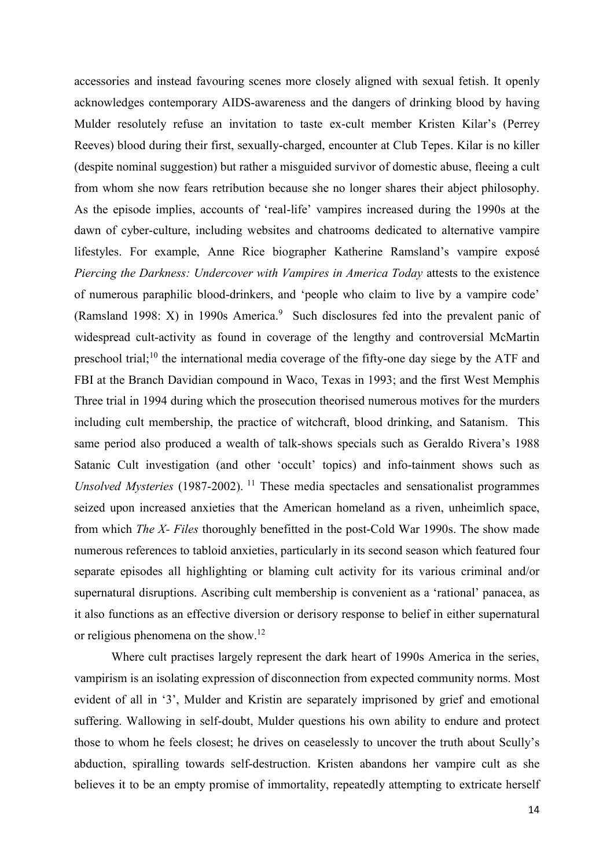accessories and instead favouring scenes more closely aligned with sexual fetish. It openly acknowledges contemporary AIDS-awareness and the dangers of drinking blood by having Mulder resolutely refuse an invitation to taste ex-cult member Kristen Kilar's (Perrey Reeves) blood during their first, sexually-charged, encounter at Club Tepes. Kilar is no killer (despite nominal suggestion) but rather a misguided survivor of domestic abuse, fleeing a cult from whom she now fears retribution because she no longer shares their abject philosophy. As the episode implies, accounts of 'real-life' vampires increased during the 1990s at the dawn of cyber-culture, including websites and chatrooms dedicated to alternative vampire lifestyles. For example, Anne Rice biographer Katherine Ramsland's vampire exposé *Piercing the Darkness: Undercover with Vampires in America Today* attests to the existence of numerous paraphilic blood-drinkers, and 'people who claim to live by a vampire code' (Ramsland 1998: X) in 1990s America. <sup>9</sup> Such disclosures fed into the prevalent panic of widespread cult-activity as found in coverage of the lengthy and controversial McMartin preschool trial;<sup>10</sup> the international media coverage of the fifty-one day siege by the ATF and FBI at the Branch Davidian compound in Waco, Texas in 1993; and the first West Memphis Three trial in 1994 during which the prosecution theorised numerous motives for the murders including cult membership, the practice of witchcraft, blood drinking, and Satanism. This same period also produced a wealth of talk-shows specials such as Geraldo Rivera's 1988 Satanic Cult investigation (and other 'occult' topics) and info-tainment shows such as *Unsolved Mysteries* (1987-2002). <sup>11</sup> These media spectacles and sensationalist programmes seized upon increased anxieties that the American homeland as a riven, unheimlich space, from which *The X- Files* thoroughly benefitted in the post-Cold War 1990s. The show made numerous references to tabloid anxieties, particularly in its second season which featured four separate episodes all highlighting or blaming cult activity for its various criminal and/or supernatural disruptions. Ascribing cult membership is convenient as a 'rational' panacea, as it also functions as an effective diversion or derisory response to belief in either supernatural or religious phenomena on the show.<sup>12</sup>

Where cult practises largely represent the dark heart of 1990s America in the series, vampirism is an isolating expression of disconnection from expected community norms. Most evident of all in '3', Mulder and Kristin are separately imprisoned by grief and emotional suffering. Wallowing in self-doubt, Mulder questions his own ability to endure and protect those to whom he feels closest; he drives on ceaselessly to uncover the truth about Scully's abduction, spiralling towards self-destruction. Kristen abandons her vampire cult as she believes it to be an empty promise of immortality, repeatedly attempting to extricate herself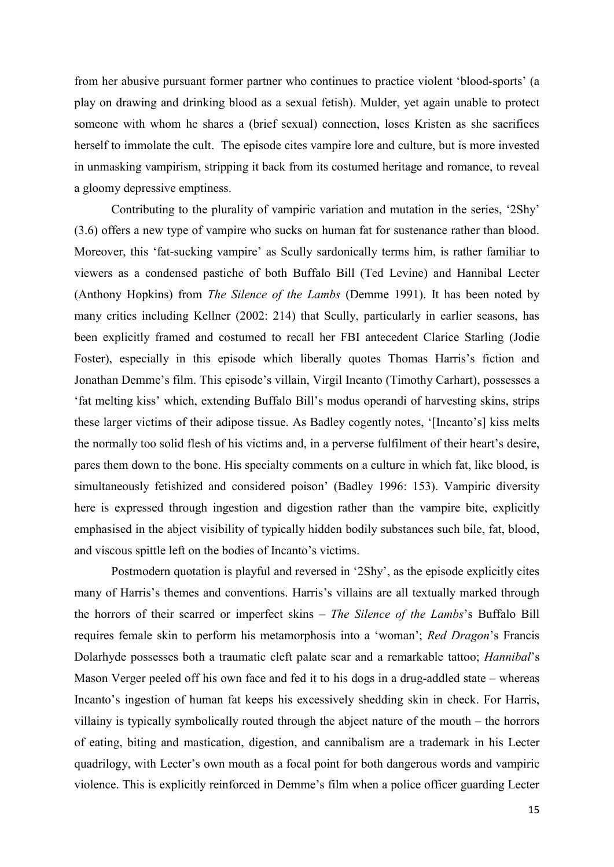from her abusive pursuant former partner who continues to practice violent 'blood-sports' (a play on drawing and drinking blood as a sexual fetish). Mulder, yet again unable to protect someone with whom he shares a (brief sexual) connection, loses Kristen as she sacrifices herself to immolate the cult. The episode cites vampire lore and culture, but is more invested in unmasking vampirism, stripping it back from its costumed heritage and romance, to reveal a gloomy depressive emptiness.

Contributing to the plurality of vampiric variation and mutation in the series, '2Shy' (3.6) offers a new type of vampire who sucks on human fat for sustenance rather than blood. Moreover, this 'fat-sucking vampire' as Scully sardonically terms him, is rather familiar to viewers as a condensed pastiche of both Buffalo Bill (Ted Levine) and Hannibal Lecter (Anthony Hopkins) from *The Silence of the Lambs* (Demme 1991). It has been noted by many critics including Kellner (2002: 214) that Scully, particularly in earlier seasons, has been explicitly framed and costumed to recall her FBI antecedent Clarice Starling (Jodie Foster), especially in this episode which liberally quotes Thomas Harris's fiction and Jonathan Demme's film. This episode's villain, Virgil Incanto (Timothy Carhart), possesses a 'fat melting kiss' which, extending Buffalo Bill's modus operandi of harvesting skins, strips these larger victims of their adipose tissue. As Badley cogently notes, '[Incanto's] kiss melts the normally too solid flesh of his victims and, in a perverse fulfilment of their heart's desire, pares them down to the bone. His specialty comments on a culture in which fat, like blood, is simultaneously fetishized and considered poison' (Badley 1996: 153). Vampiric diversity here is expressed through ingestion and digestion rather than the vampire bite, explicitly emphasised in the abject visibility of typically hidden bodily substances such bile, fat, blood, and viscous spittle left on the bodies of Incanto's victims.

Postmodern quotation is playful and reversed in '2Shy', as the episode explicitly cites many of Harris's themes and conventions. Harris's villains are all textually marked through the horrors of their scarred or imperfect skins – *The Silence of the Lambs*'s Buffalo Bill requires female skin to perform his metamorphosis into a 'woman'; *Red Dragon*'s Francis Dolarhyde possesses both a traumatic cleft palate scar and a remarkable tattoo; *Hannibal*'s Mason Verger peeled off his own face and fed it to his dogs in a drug-addled state – whereas Incanto's ingestion of human fat keeps his excessively shedding skin in check. For Harris, villainy is typically symbolically routed through the abject nature of the mouth – the horrors of eating, biting and mastication, digestion, and cannibalism are a trademark in his Lecter quadrilogy, with Lecter's own mouth as a focal point for both dangerous words and vampiric violence. This is explicitly reinforced in Demme's film when a police officer guarding Lecter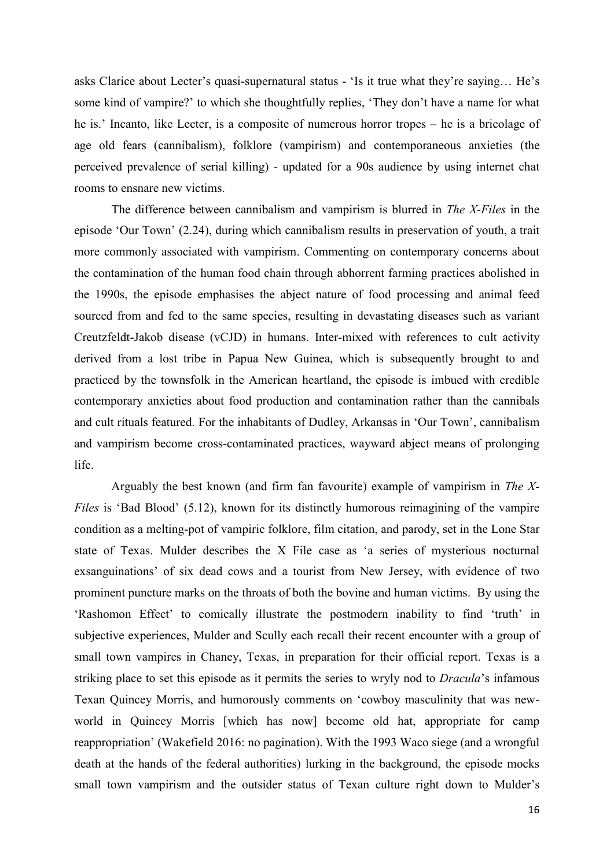asks Clarice about Lecter's quasi-supernatural status - 'Is it true what they're saying… He's some kind of vampire?' to which she thoughtfully replies, 'They don't have a name for what he is.' Incanto, like Lecter, is a composite of numerous horror tropes – he is a bricolage of age old fears (cannibalism), folklore (vampirism) and contemporaneous anxieties (the perceived prevalence of serial killing) - updated for a 90s audience by using internet chat rooms to ensnare new victims.

The difference between cannibalism and vampirism is blurred in *The X-Files* in the episode 'Our Town' (2.24), during which cannibalism results in preservation of youth, a trait more commonly associated with vampirism. Commenting on contemporary concerns about the contamination of the human food chain through abhorrent farming practices abolished in the 1990s, the episode emphasises the abject nature of food processing and animal feed sourced from and fed to the same species, resulting in devastating diseases such as variant Creutzfeldt-Jakob disease (vCJD) in humans. Inter-mixed with references to cult activity derived from a lost tribe in Papua New Guinea, which is subsequently brought to and practiced by the townsfolk in the American heartland, the episode is imbued with credible contemporary anxieties about food production and contamination rather than the cannibals and cult rituals featured. For the inhabitants of Dudley, Arkansas in 'Our Town', cannibalism and vampirism become cross-contaminated practices, wayward abject means of prolonging life.

Arguably the best known (and firm fan favourite) example of vampirism in *The X-Files* is 'Bad Blood' (5.12), known for its distinctly humorous reimagining of the vampire condition as a melting-pot of vampiric folklore, film citation, and parody, set in the Lone Star state of Texas. Mulder describes the X File case as 'a series of mysterious nocturnal exsanguinations' of six dead cows and a tourist from New Jersey, with evidence of two prominent puncture marks on the throats of both the bovine and human victims. By using the 'Rashomon Effect' to comically illustrate the postmodern inability to find 'truth' in subjective experiences, Mulder and Scully each recall their recent encounter with a group of small town vampires in Chaney, Texas, in preparation for their official report. Texas is a striking place to set this episode as it permits the series to wryly nod to *Dracula*'s infamous Texan Quincey Morris, and humorously comments on 'cowboy masculinity that was newworld in Quincey Morris [which has now] become old hat, appropriate for camp reappropriation' (Wakefield 2016: no pagination). With the 1993 Waco siege (and a wrongful death at the hands of the federal authorities) lurking in the background, the episode mocks small town vampirism and the outsider status of Texan culture right down to Mulder's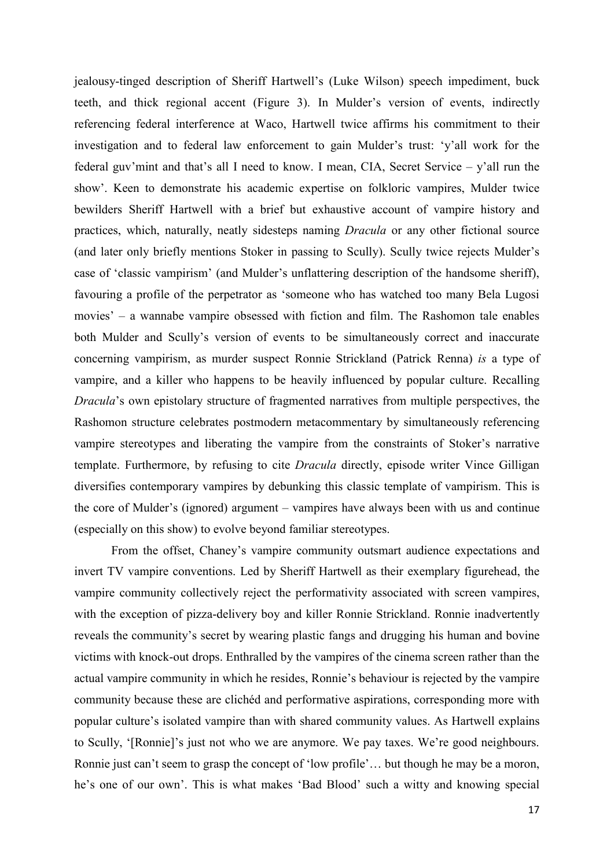jealousy-tinged description of Sheriff Hartwell's (Luke Wilson) speech impediment, buck teeth, and thick regional accent (Figure 3). In Mulder's version of events, indirectly referencing federal interference at Waco, Hartwell twice affirms his commitment to their investigation and to federal law enforcement to gain Mulder's trust: 'y'all work for the federal guv'mint and that's all I need to know. I mean, CIA, Secret Service – y'all run the show'. Keen to demonstrate his academic expertise on folkloric vampires, Mulder twice bewilders Sheriff Hartwell with a brief but exhaustive account of vampire history and practices, which, naturally, neatly sidesteps naming *Dracula* or any other fictional source (and later only briefly mentions Stoker in passing to Scully). Scully twice rejects Mulder's case of 'classic vampirism' (and Mulder's unflattering description of the handsome sheriff), favouring a profile of the perpetrator as 'someone who has watched too many Bela Lugosi movies' – a wannabe vampire obsessed with fiction and film. The Rashomon tale enables both Mulder and Scully's version of events to be simultaneously correct and inaccurate concerning vampirism, as murder suspect Ronnie Strickland (Patrick Renna) *is* a type of vampire, and a killer who happens to be heavily influenced by popular culture. Recalling *Dracula*'s own epistolary structure of fragmented narratives from multiple perspectives, the Rashomon structure celebrates postmodern metacommentary by simultaneously referencing vampire stereotypes and liberating the vampire from the constraints of Stoker's narrative template. Furthermore, by refusing to cite *Dracula* directly, episode writer Vince Gilligan diversifies contemporary vampires by debunking this classic template of vampirism. This is the core of Mulder's (ignored) argument – vampires have always been with us and continue (especially on this show) to evolve beyond familiar stereotypes.

From the offset, Chaney's vampire community outsmart audience expectations and invert TV vampire conventions. Led by Sheriff Hartwell as their exemplary figurehead, the vampire community collectively reject the performativity associated with screen vampires, with the exception of pizza-delivery boy and killer Ronnie Strickland. Ronnie inadvertently reveals the community's secret by wearing plastic fangs and drugging his human and bovine victims with knock-out drops. Enthralled by the vampires of the cinema screen rather than the actual vampire community in which he resides, Ronnie's behaviour is rejected by the vampire community because these are clichéd and performative aspirations, corresponding more with popular culture's isolated vampire than with shared community values. As Hartwell explains to Scully, '[Ronnie]'s just not who we are anymore. We pay taxes. We're good neighbours. Ronnie just can't seem to grasp the concept of 'low profile'… but though he may be a moron, he's one of our own'. This is what makes 'Bad Blood' such a witty and knowing special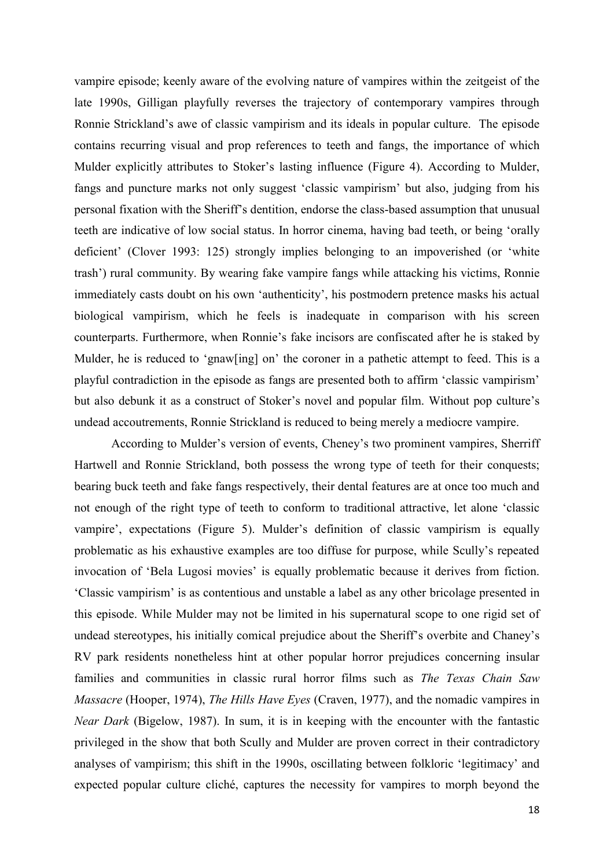vampire episode; keenly aware of the evolving nature of vampires within the zeitgeist of the late 1990s, Gilligan playfully reverses the trajectory of contemporary vampires through Ronnie Strickland's awe of classic vampirism and its ideals in popular culture. The episode contains recurring visual and prop references to teeth and fangs, the importance of which Mulder explicitly attributes to Stoker's lasting influence (Figure 4). According to Mulder, fangs and puncture marks not only suggest 'classic vampirism' but also, judging from his personal fixation with the Sheriff's dentition, endorse the class-based assumption that unusual teeth are indicative of low social status. In horror cinema, having bad teeth, or being 'orally deficient' (Clover 1993: 125) strongly implies belonging to an impoverished (or 'white trash') rural community. By wearing fake vampire fangs while attacking his victims, Ronnie immediately casts doubt on his own 'authenticity', his postmodern pretence masks his actual biological vampirism, which he feels is inadequate in comparison with his screen counterparts. Furthermore, when Ronnie's fake incisors are confiscated after he is staked by Mulder, he is reduced to 'gnaw[ing] on' the coroner in a pathetic attempt to feed. This is a playful contradiction in the episode as fangs are presented both to affirm 'classic vampirism' but also debunk it as a construct of Stoker's novel and popular film. Without pop culture's undead accoutrements, Ronnie Strickland is reduced to being merely a mediocre vampire.

According to Mulder's version of events, Cheney's two prominent vampires, Sherriff Hartwell and Ronnie Strickland, both possess the wrong type of teeth for their conquests; bearing buck teeth and fake fangs respectively, their dental features are at once too much and not enough of the right type of teeth to conform to traditional attractive, let alone 'classic vampire', expectations (Figure 5). Mulder's definition of classic vampirism is equally problematic as his exhaustive examples are too diffuse for purpose, while Scully's repeated invocation of 'Bela Lugosi movies' is equally problematic because it derives from fiction. 'Classic vampirism' is as contentious and unstable a label as any other bricolage presented in this episode. While Mulder may not be limited in his supernatural scope to one rigid set of undead stereotypes, his initially comical prejudice about the Sheriff's overbite and Chaney's RV park residents nonetheless hint at other popular horror prejudices concerning insular families and communities in classic rural horror films such as *The Texas Chain Saw Massacre* (Hooper, 1974), *The Hills Have Eyes* (Craven, 1977), and the nomadic vampires in *Near Dark* (Bigelow, 1987). In sum, it is in keeping with the encounter with the fantastic privileged in the show that both Scully and Mulder are proven correct in their contradictory analyses of vampirism; this shift in the 1990s, oscillating between folkloric 'legitimacy' and expected popular culture cliché, captures the necessity for vampires to morph beyond the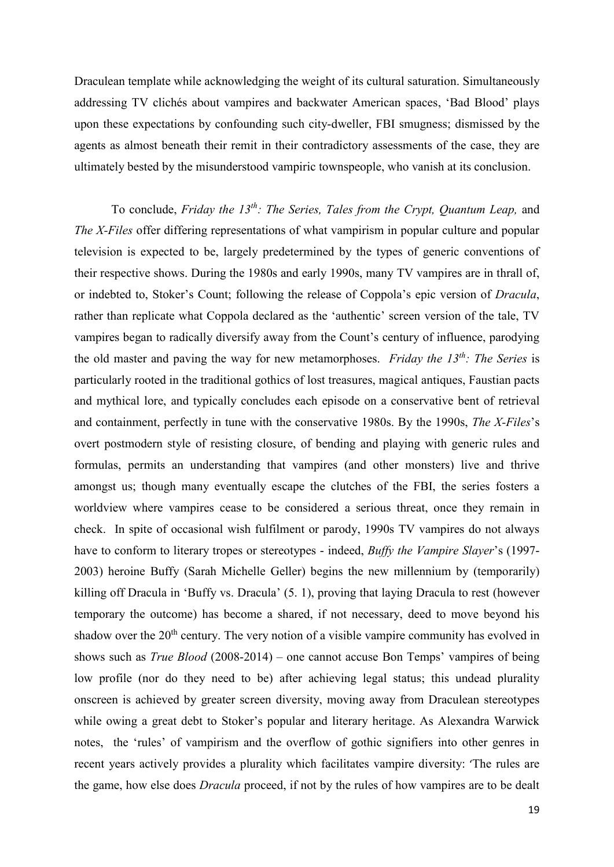Draculean template while acknowledging the weight of its cultural saturation. Simultaneously addressing TV clichés about vampires and backwater American spaces, 'Bad Blood' plays upon these expectations by confounding such city-dweller, FBI smugness; dismissed by the agents as almost beneath their remit in their contradictory assessments of the case, they are ultimately bested by the misunderstood vampiric townspeople, who vanish at its conclusion.

To conclude, *Friday the 13th: The Series, Tales from the Crypt, Quantum Leap,* and *The X-Files* offer differing representations of what vampirism in popular culture and popular television is expected to be, largely predetermined by the types of generic conventions of their respective shows. During the 1980s and early 1990s, many TV vampires are in thrall of, or indebted to, Stoker's Count; following the release of Coppola's epic version of *Dracula*, rather than replicate what Coppola declared as the 'authentic' screen version of the tale, TV vampires began to radically diversify away from the Count's century of influence, parodying the old master and paving the way for new metamorphoses. *Friday the 13th: The Series* is particularly rooted in the traditional gothics of lost treasures, magical antiques, Faustian pacts and mythical lore, and typically concludes each episode on a conservative bent of retrieval and containment, perfectly in tune with the conservative 1980s. By the 1990s, *The X-Files*'s overt postmodern style of resisting closure, of bending and playing with generic rules and formulas, permits an understanding that vampires (and other monsters) live and thrive amongst us; though many eventually escape the clutches of the FBI, the series fosters a worldview where vampires cease to be considered a serious threat, once they remain in check. In spite of occasional wish fulfilment or parody, 1990s TV vampires do not always have to conform to literary tropes or stereotypes - indeed, *Buffy the Vampire Slayer*'s (1997- 2003) heroine Buffy (Sarah Michelle Geller) begins the new millennium by (temporarily) killing off Dracula in 'Buffy vs. Dracula' (5. 1), proving that laying Dracula to rest (however temporary the outcome) has become a shared, if not necessary, deed to move beyond his shadow over the 20<sup>th</sup> century. The very notion of a visible vampire community has evolved in shows such as *True Blood* (2008-2014) – one cannot accuse Bon Temps' vampires of being low profile (nor do they need to be) after achieving legal status; this undead plurality onscreen is achieved by greater screen diversity, moving away from Draculean stereotypes while owing a great debt to Stoker's popular and literary heritage. As Alexandra Warwick notes, the 'rules' of vampirism and the overflow of gothic signifiers into other genres in recent years actively provides a plurality which facilitates vampire diversity: 'The rules are the game, how else does *Dracula* proceed, if not by the rules of how vampires are to be dealt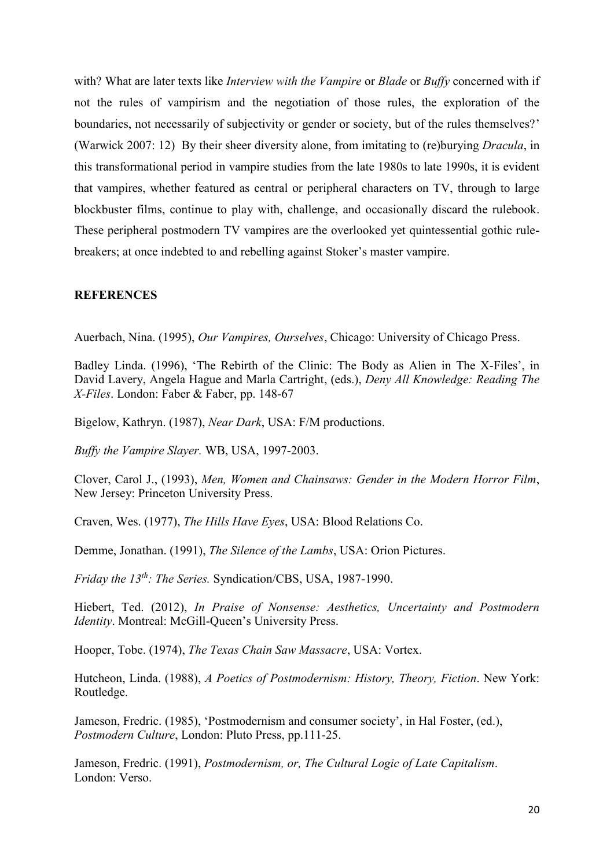with? What are later texts like *Interview with the Vampire* or *Blade* or *Buffy* concerned with if not the rules of vampirism and the negotiation of those rules, the exploration of the boundaries, not necessarily of subjectivity or gender or society, but of the rules themselves?' (Warwick 2007: 12) By their sheer diversity alone, from imitating to (re)burying *Dracula*, in this transformational period in vampire studies from the late 1980s to late 1990s, it is evident that vampires, whether featured as central or peripheral characters on TV, through to large blockbuster films, continue to play with, challenge, and occasionally discard the rulebook. These peripheral postmodern TV vampires are the overlooked yet quintessential gothic rulebreakers; at once indebted to and rebelling against Stoker's master vampire.

#### **REFERENCES**

Auerbach, Nina. (1995), *Our Vampires, Ourselves*, Chicago: University of Chicago Press.

Badley Linda. (1996), 'The Rebirth of the Clinic: The Body as Alien in The X-Files', in David Lavery, Angela Hague and Marla Cartright, (eds.), *Deny All Knowledge: Reading The X-Files*. London: Faber & Faber, pp. 148-67

Bigelow, Kathryn. (1987), *Near Dark*, USA: F/M productions.

*Buffy the Vampire Slayer.* WB, USA, 1997-2003.

Clover, Carol J., (1993), *Men, Women and Chainsaws: Gender in the Modern Horror Film*, New Jersey: Princeton University Press.

Craven, Wes. (1977), *The Hills Have Eyes*, USA: Blood Relations Co.

Demme, Jonathan. (1991), *The Silence of the Lambs*, USA: Orion Pictures.

*Friday the 13th: The Series.* Syndication/CBS, USA, 1987-1990.

Hiebert, Ted. (2012), *In Praise of Nonsense: Aesthetics, Uncertainty and Postmodern Identity*. Montreal: McGill-Queen's University Press.

Hooper, Tobe. (1974), *The Texas Chain Saw Massacre*, USA: Vortex.

Hutcheon, Linda. (1988), *A Poetics of Postmodernism: History, Theory, Fiction*. New York: Routledge.

Jameson, Fredric. (1985), 'Postmodernism and consumer society', in Hal Foster, (ed.), *Postmodern Culture*, London: Pluto Press, pp.111-25.

Jameson, Fredric. (1991), *Postmodernism, or, The Cultural Logic of Late Capitalism*. London: Verso.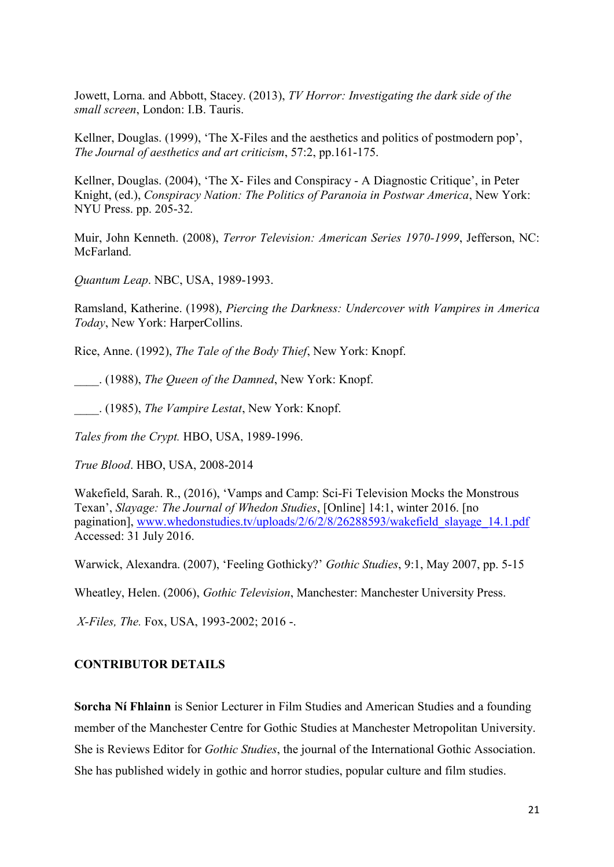Jowett, Lorna. and Abbott, Stacey. (2013), *TV Horror: Investigating the dark side of the small screen*, London: I.B. Tauris.

Kellner, Douglas. (1999), 'The X-Files and the aesthetics and politics of postmodern pop', *The Journal of aesthetics and art criticism*, 57:2, pp.161-175.

Kellner, Douglas. (2004), 'The X- Files and Conspiracy - A Diagnostic Critique', in Peter Knight, (ed.), *Conspiracy Nation: The Politics of Paranoia in Postwar America*, New York: NYU Press. pp. 205-32.

Muir, John Kenneth. (2008), *Terror Television: American Series 1970-1999*, Jefferson, NC: **McFarland** 

*Quantum Leap*. NBC, USA, 1989-1993.

Ramsland, Katherine. (1998), *Piercing the Darkness: Undercover with Vampires in America Today*, New York: HarperCollins.

Rice, Anne. (1992), *The Tale of the Body Thief*, New York: Knopf.

\_\_\_\_. (1988), *The Queen of the Damned*, New York: Knopf.

\_\_\_\_. (1985), *The Vampire Lestat*, New York: Knopf.

*Tales from the Crypt.* HBO, USA, 1989-1996.

*True Blood*. HBO, USA, 2008-2014

Wakefield, Sarah. R., (2016), 'Vamps and Camp: Sci-Fi Television Mocks the Monstrous Texan', *Slayage: The Journal of Whedon Studies*, [Online] 14:1, winter 2016. [no pagination], [www.whedonstudies.tv/uploads/2/6/2/8/26288593/wakefield\\_slayage\\_14.1.pdf](http://www.whedonstudies.tv/uploads/2/6/2/8/26288593/wakefield_slayage_14.1.pdf) Accessed: 31 July 2016.

Warwick, Alexandra. (2007), 'Feeling Gothicky?' *Gothic Studies*, 9:1, May 2007, pp. 5-15

Wheatley, Helen. (2006), *Gothic Television*, Manchester: Manchester University Press.

*X-Files, The.* Fox, USA, 1993-2002; 2016 -.

# **CONTRIBUTOR DETAILS**

**Sorcha Ní Fhlainn** is Senior Lecturer in Film Studies and American Studies and a founding member of the Manchester Centre for Gothic Studies at Manchester Metropolitan University. She is Reviews Editor for *Gothic Studies*, the journal of the International Gothic Association. She has published widely in gothic and horror studies, popular culture and film studies.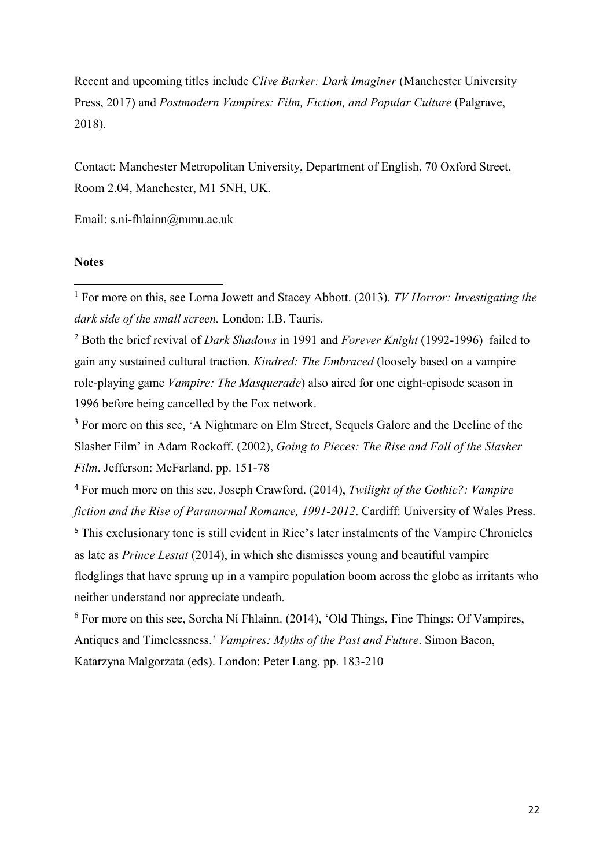Recent and upcoming titles include *Clive Barker: Dark Imaginer* (Manchester University Press, 2017) and *Postmodern Vampires: Film, Fiction, and Popular Culture* (Palgrave, 2018).

Contact: Manchester Metropolitan University, Department of English, 70 Oxford Street, Room 2.04, Manchester, M1 5NH, UK.

Email: s.ni-fhlainn@mmu.ac.uk

### **Notes**

**.** 

<sup>1</sup> For more on this, see Lorna Jowett and Stacey Abbott. (2013)*. TV Horror: Investigating the dark side of the small screen.* London: I.B. Tauris*.* 

<sup>2</sup> Both the brief revival of *Dark Shadows* in 1991 and *Forever Knight* (1992-1996) failed to gain any sustained cultural traction. *Kindred: The Embraced* (loosely based on a vampire role-playing game *Vampire: The Masquerade*) also aired for one eight-episode season in 1996 before being cancelled by the Fox network.

<sup>3</sup> For more on this see, 'A Nightmare on Elm Street, Sequels Galore and the Decline of the Slasher Film' in Adam Rockoff. (2002), *Going to Pieces: The Rise and Fall of the Slasher Film*. Jefferson: McFarland. pp. 151-78

<sup>4</sup> For much more on this see, Joseph Crawford. (2014), *Twilight of the Gothic?: Vampire fiction and the Rise of Paranormal Romance, 1991-2012*. Cardiff: University of Wales Press.

<sup>5</sup> This exclusionary tone is still evident in Rice's later instalments of the Vampire Chronicles as late as *Prince Lestat* (2014), in which she dismisses young and beautiful vampire fledglings that have sprung up in a vampire population boom across the globe as irritants who neither understand nor appreciate undeath.

<sup>6</sup> For more on this see, Sorcha Ní Fhlainn. (2014), 'Old Things, Fine Things: Of Vampires, Antiques and Timelessness.' *Vampires: Myths of the Past and Future*. Simon Bacon, Katarzyna Malgorzata (eds). London: Peter Lang. pp. 183-210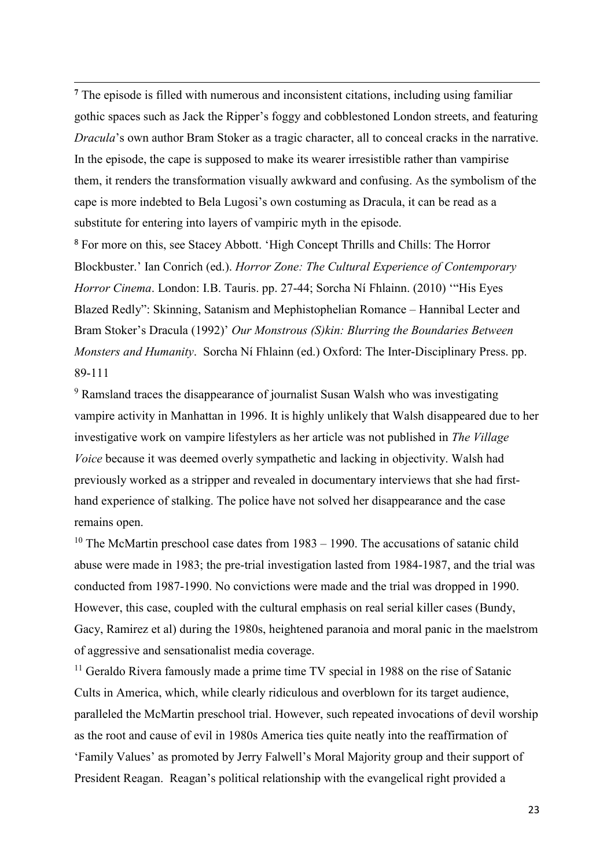**<sup>7</sup>** The episode is filled with numerous and inconsistent citations, including using familiar gothic spaces such as Jack the Ripper's foggy and cobblestoned London streets, and featuring *Dracula*'s own author Bram Stoker as a tragic character, all to conceal cracks in the narrative. In the episode, the cape is supposed to make its wearer irresistible rather than vampirise them, it renders the transformation visually awkward and confusing. As the symbolism of the cape is more indebted to Bela Lugosi's own costuming as Dracula, it can be read as a substitute for entering into layers of vampiric myth in the episode.

1

<sup>8</sup> For more on this, see Stacey Abbott. 'High Concept Thrills and Chills: The Horror Blockbuster.' Ian Conrich (ed.). *Horror Zone: The Cultural Experience of Contemporary Horror Cinema*. London: I.B. Tauris. pp. 27-44; Sorcha Ní Fhlainn. (2010) '"His Eyes Blazed Redly": Skinning, Satanism and Mephistophelian Romance – Hannibal Lecter and Bram Stoker's Dracula (1992)' *Our Monstrous (S)kin: Blurring the Boundaries Between Monsters and Humanity*. Sorcha Ní Fhlainn (ed.) Oxford: The Inter-Disciplinary Press. pp. 89-111

<sup>9</sup> Ramsland traces the disappearance of journalist Susan Walsh who was investigating vampire activity in Manhattan in 1996. It is highly unlikely that Walsh disappeared due to her investigative work on vampire lifestylers as her article was not published in *The Village Voice* because it was deemed overly sympathetic and lacking in objectivity. Walsh had previously worked as a stripper and revealed in documentary interviews that she had firsthand experience of stalking. The police have not solved her disappearance and the case remains open.

 $10$  The McMartin preschool case dates from  $1983 - 1990$ . The accusations of satanic child abuse were made in 1983; the pre-trial investigation lasted from 1984-1987, and the trial was conducted from 1987-1990. No convictions were made and the trial was dropped in 1990. However, this case, coupled with the cultural emphasis on real serial killer cases (Bundy, Gacy, Ramirez et al) during the 1980s, heightened paranoia and moral panic in the maelstrom of aggressive and sensationalist media coverage.

<sup>11</sup> Geraldo Rivera famously made a prime time TV special in 1988 on the rise of Satanic Cults in America, which, while clearly ridiculous and overblown for its target audience, paralleled the McMartin preschool trial. However, such repeated invocations of devil worship as the root and cause of evil in 1980s America ties quite neatly into the reaffirmation of 'Family Values' as promoted by Jerry Falwell's Moral Majority group and their support of President Reagan. Reagan's political relationship with the evangelical right provided a